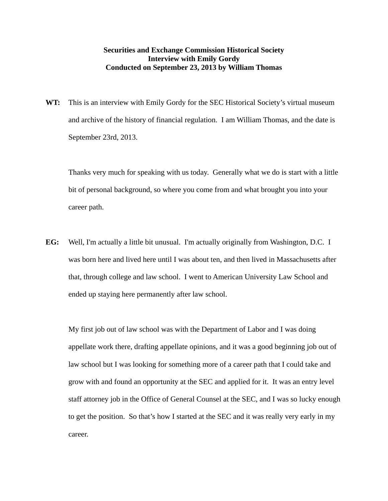## **Securities and Exchange Commission Historical Society Interview with Emily Gordy Conducted on September 23, 2013 by William Thomas**

**WT:** This is an interview with Emily Gordy for the SEC Historical Society's virtual museum and archive of the history of financial regulation. I am William Thomas, and the date is September 23rd, 2013.

 Thanks very much for speaking with us today. Generally what we do is start with a little bit of personal background, so where you come from and what brought you into your career path.

**EG:** Well, I'm actually a little bit unusual. I'm actually originally from Washington, D.C. I was born here and lived here until I was about ten, and then lived in Massachusetts after that, through college and law school. I went to American University Law School and ended up staying here permanently after law school.

 My first job out of law school was with the Department of Labor and I was doing appellate work there, drafting appellate opinions, and it was a good beginning job out of law school but I was looking for something more of a career path that I could take and grow with and found an opportunity at the SEC and applied for it. It was an entry level staff attorney job in the Office of General Counsel at the SEC, and I was so lucky enough to get the position. So that's how I started at the SEC and it was really very early in my career.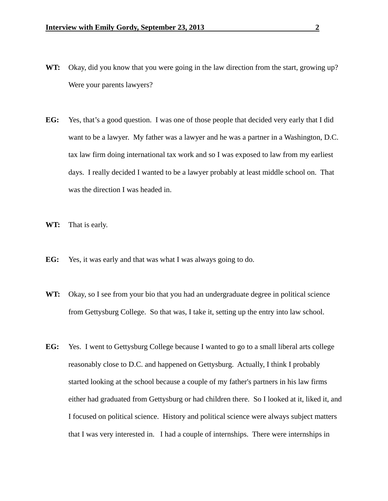- **WT:** Okay, did you know that you were going in the law direction from the start, growing up? Were your parents lawyers?
- **EG:** Yes, that's a good question. I was one of those people that decided very early that I did want to be a lawyer. My father was a lawyer and he was a partner in a Washington, D.C. tax law firm doing international tax work and so I was exposed to law from my earliest days. I really decided I wanted to be a lawyer probably at least middle school on. That was the direction I was headed in.
- **WT:** That is early.
- **EG:** Yes, it was early and that was what I was always going to do.
- WT: Okay, so I see from your bio that you had an undergraduate degree in political science from Gettysburg College. So that was, I take it, setting up the entry into law school.
- **EG:** Yes. I went to Gettysburg College because I wanted to go to a small liberal arts college reasonably close to D.C. and happened on Gettysburg. Actually, I think I probably started looking at the school because a couple of my father's partners in his law firms either had graduated from Gettysburg or had children there. So I looked at it, liked it, and I focused on political science. History and political science were always subject matters that I was very interested in. I had a couple of internships. There were internships in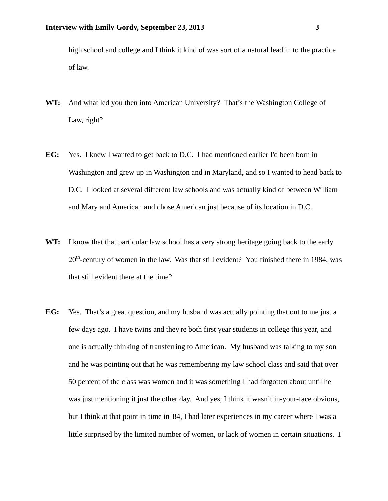high school and college and I think it kind of was sort of a natural lead in to the practice of law.

- **WT:** And what led you then into American University? That's the Washington College of Law, right?
- **EG:** Yes. I knew I wanted to get back to D.C. I had mentioned earlier I'd been born in Washington and grew up in Washington and in Maryland, and so I wanted to head back to D.C. I looked at several different law schools and was actually kind of between William and Mary and American and chose American just because of its location in D.C.
- **WT:** I know that that particular law school has a very strong heritage going back to the early 20<sup>th</sup>-century of women in the law. Was that still evident? You finished there in 1984, was that still evident there at the time?
- **EG:** Yes. That's a great question, and my husband was actually pointing that out to me just a few days ago. I have twins and they're both first year students in college this year, and one is actually thinking of transferring to American. My husband was talking to my son and he was pointing out that he was remembering my law school class and said that over 50 percent of the class was women and it was something I had forgotten about until he was just mentioning it just the other day. And yes, I think it wasn't in-your-face obvious, but I think at that point in time in '84, I had later experiences in my career where I was a little surprised by the limited number of women, or lack of women in certain situations. I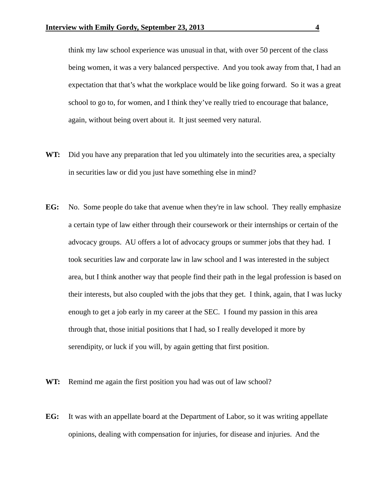think my law school experience was unusual in that, with over 50 percent of the class being women, it was a very balanced perspective. And you took away from that, I had an expectation that that's what the workplace would be like going forward. So it was a great school to go to, for women, and I think they've really tried to encourage that balance, again, without being overt about it. It just seemed very natural.

- **WT:** Did you have any preparation that led you ultimately into the securities area, a specialty in securities law or did you just have something else in mind?
- **EG:** No. Some people do take that avenue when they're in law school. They really emphasize a certain type of law either through their coursework or their internships or certain of the advocacy groups. AU offers a lot of advocacy groups or summer jobs that they had. I took securities law and corporate law in law school and I was interested in the subject area, but I think another way that people find their path in the legal profession is based on their interests, but also coupled with the jobs that they get. I think, again, that I was lucky enough to get a job early in my career at the SEC. I found my passion in this area through that, those initial positions that I had, so I really developed it more by serendipity, or luck if you will, by again getting that first position.
- WT: Remind me again the first position you had was out of law school?
- **EG:** It was with an appellate board at the Department of Labor, so it was writing appellate opinions, dealing with compensation for injuries, for disease and injuries. And the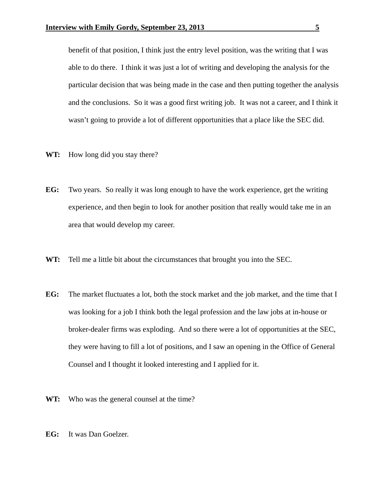benefit of that position, I think just the entry level position, was the writing that I was able to do there. I think it was just a lot of writing and developing the analysis for the particular decision that was being made in the case and then putting together the analysis and the conclusions. So it was a good first writing job. It was not a career, and I think it wasn't going to provide a lot of different opportunities that a place like the SEC did.

- **WT:** How long did you stay there?
- **EG:** Two years. So really it was long enough to have the work experience, get the writing experience, and then begin to look for another position that really would take me in an area that would develop my career.
- **WT:** Tell me a little bit about the circumstances that brought you into the SEC.
- **EG:** The market fluctuates a lot, both the stock market and the job market, and the time that I was looking for a job I think both the legal profession and the law jobs at in-house or broker-dealer firms was exploding. And so there were a lot of opportunities at the SEC, they were having to fill a lot of positions, and I saw an opening in the Office of General Counsel and I thought it looked interesting and I applied for it.
- **WT:** Who was the general counsel at the time?
- **EG:** It was Dan Goelzer.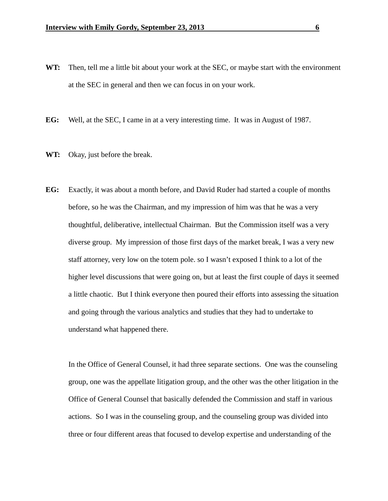- **WT:** Then, tell me a little bit about your work at the SEC, or maybe start with the environment at the SEC in general and then we can focus in on your work.
- **EG:** Well, at the SEC, I came in at a very interesting time. It was in August of 1987.
- **WT:** Okay, just before the break.
- **EG:** Exactly, it was about a month before, and David Ruder had started a couple of months before, so he was the Chairman, and my impression of him was that he was a very thoughtful, deliberative, intellectual Chairman. But the Commission itself was a very diverse group. My impression of those first days of the market break, I was a very new staff attorney, very low on the totem pole. so I wasn't exposed I think to a lot of the higher level discussions that were going on, but at least the first couple of days it seemed a little chaotic. But I think everyone then poured their efforts into assessing the situation and going through the various analytics and studies that they had to undertake to understand what happened there.

 In the Office of General Counsel, it had three separate sections. One was the counseling group, one was the appellate litigation group, and the other was the other litigation in the Office of General Counsel that basically defended the Commission and staff in various actions. So I was in the counseling group, and the counseling group was divided into three or four different areas that focused to develop expertise and understanding of the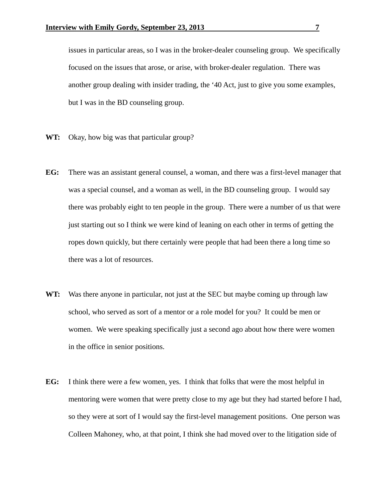issues in particular areas, so I was in the broker-dealer counseling group. We specifically focused on the issues that arose, or arise, with broker-dealer regulation. There was another group dealing with insider trading, the '40 Act, just to give you some examples, but I was in the BD counseling group.

- **WT:** Okay, how big was that particular group?
- **EG:** There was an assistant general counsel, a woman, and there was a first-level manager that was a special counsel, and a woman as well, in the BD counseling group. I would say there was probably eight to ten people in the group. There were a number of us that were just starting out so I think we were kind of leaning on each other in terms of getting the ropes down quickly, but there certainly were people that had been there a long time so there was a lot of resources.
- **WT:** Was there anyone in particular, not just at the SEC but maybe coming up through law school, who served as sort of a mentor or a role model for you? It could be men or women. We were speaking specifically just a second ago about how there were women in the office in senior positions.
- **EG:** I think there were a few women, yes. I think that folks that were the most helpful in mentoring were women that were pretty close to my age but they had started before I had, so they were at sort of I would say the first-level management positions. One person was Colleen Mahoney, who, at that point, I think she had moved over to the litigation side of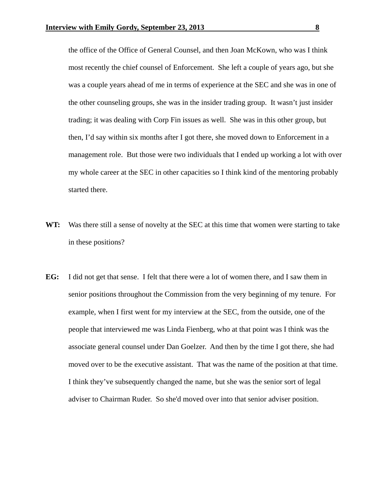the office of the Office of General Counsel, and then Joan McKown, who was I think most recently the chief counsel of Enforcement. She left a couple of years ago, but she was a couple years ahead of me in terms of experience at the SEC and she was in one of the other counseling groups, she was in the insider trading group. It wasn't just insider trading; it was dealing with Corp Fin issues as well. She was in this other group, but then, I'd say within six months after I got there, she moved down to Enforcement in a management role. But those were two individuals that I ended up working a lot with over my whole career at the SEC in other capacities so I think kind of the mentoring probably started there.

- **WT:** Was there still a sense of novelty at the SEC at this time that women were starting to take in these positions?
- **EG:** I did not get that sense. I felt that there were a lot of women there, and I saw them in senior positions throughout the Commission from the very beginning of my tenure. For example, when I first went for my interview at the SEC, from the outside, one of the people that interviewed me was Linda Fienberg, who at that point was I think was the associate general counsel under Dan Goelzer. And then by the time I got there, she had moved over to be the executive assistant. That was the name of the position at that time. I think they've subsequently changed the name, but she was the senior sort of legal adviser to Chairman Ruder. So she'd moved over into that senior adviser position.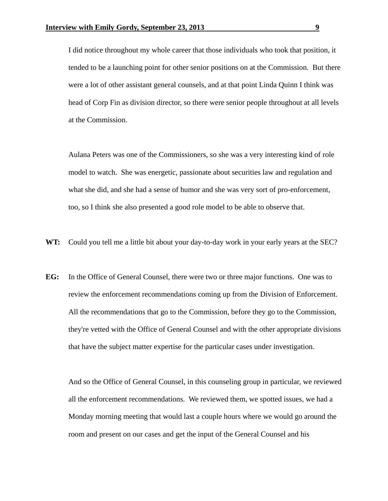I did notice throughout my whole career that those individuals who took that position, it tended to be a launching point for other senior positions on at the Commission. But there were a lot of other assistant general counsels, and at that point Linda Quinn I think was head of Corp Fin as division director, so there were senior people throughout at all levels at the Commission.

 Aulana Peters was one of the Commissioners, so she was a very interesting kind of role model to watch. She was energetic, passionate about securities law and regulation and what she did, and she had a sense of humor and she was very sort of pro-enforcement, too, so I think she also presented a good role model to be able to observe that.

- **WT:** Could you tell me a little bit about your day-to-day work in your early years at the SEC?
- **EG:** In the Office of General Counsel, there were two or three major functions. One was to review the enforcement recommendations coming up from the Division of Enforcement. All the recommendations that go to the Commission, before they go to the Commission, they're vetted with the Office of General Counsel and with the other appropriate divisions that have the subject matter expertise for the particular cases under investigation.

 And so the Office of General Counsel, in this counseling group in particular, we reviewed all the enforcement recommendations. We reviewed them, we spotted issues, we had a Monday morning meeting that would last a couple hours where we would go around the room and present on our cases and get the input of the General Counsel and his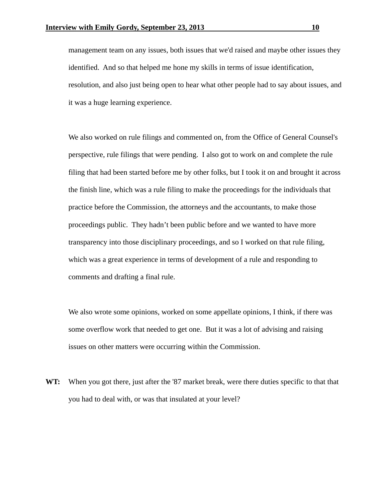management team on any issues, both issues that we'd raised and maybe other issues they identified. And so that helped me hone my skills in terms of issue identification, resolution, and also just being open to hear what other people had to say about issues, and it was a huge learning experience.

 We also worked on rule filings and commented on, from the Office of General Counsel's perspective, rule filings that were pending. I also got to work on and complete the rule filing that had been started before me by other folks, but I took it on and brought it across the finish line, which was a rule filing to make the proceedings for the individuals that practice before the Commission, the attorneys and the accountants, to make those proceedings public. They hadn't been public before and we wanted to have more transparency into those disciplinary proceedings, and so I worked on that rule filing, which was a great experience in terms of development of a rule and responding to comments and drafting a final rule.

 We also wrote some opinions, worked on some appellate opinions, I think, if there was some overflow work that needed to get one. But it was a lot of advising and raising issues on other matters were occurring within the Commission.

**WT:** When you got there, just after the '87 market break, were there duties specific to that that you had to deal with, or was that insulated at your level?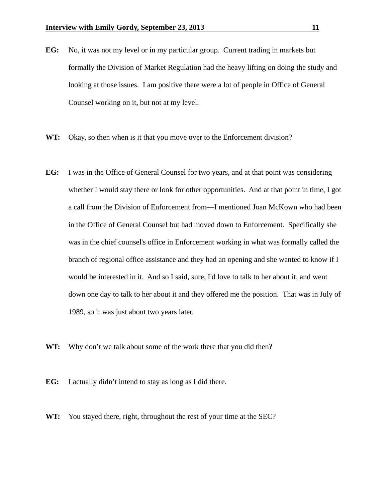- **EG:** No, it was not my level or in my particular group. Current trading in markets but formally the Division of Market Regulation had the heavy lifting on doing the study and looking at those issues. I am positive there were a lot of people in Office of General Counsel working on it, but not at my level.
- **WT:** Okay, so then when is it that you move over to the Enforcement division?
- **EG:** I was in the Office of General Counsel for two years, and at that point was considering whether I would stay there or look for other opportunities. And at that point in time, I got a call from the Division of Enforcement from—I mentioned Joan McKown who had been in the Office of General Counsel but had moved down to Enforcement. Specifically she was in the chief counsel's office in Enforcement working in what was formally called the branch of regional office assistance and they had an opening and she wanted to know if I would be interested in it. And so I said, sure, I'd love to talk to her about it, and went down one day to talk to her about it and they offered me the position. That was in July of 1989, so it was just about two years later.
- **WT:** Why don't we talk about some of the work there that you did then?
- **EG:** I actually didn't intend to stay as long as I did there.
- **WT:** You stayed there, right, throughout the rest of your time at the SEC?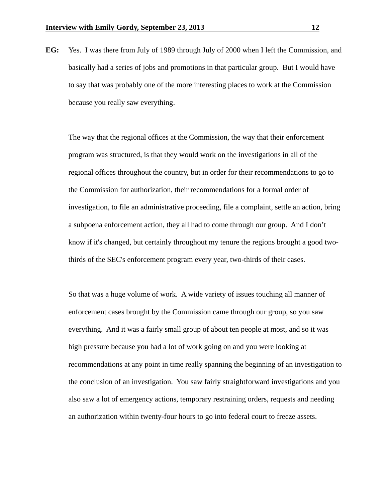**EG:** Yes. I was there from July of 1989 through July of 2000 when I left the Commission, and basically had a series of jobs and promotions in that particular group. But I would have to say that was probably one of the more interesting places to work at the Commission because you really saw everything.

 The way that the regional offices at the Commission, the way that their enforcement program was structured, is that they would work on the investigations in all of the regional offices throughout the country, but in order for their recommendations to go to the Commission for authorization, their recommendations for a formal order of investigation, to file an administrative proceeding, file a complaint, settle an action, bring a subpoena enforcement action, they all had to come through our group. And I don't know if it's changed, but certainly throughout my tenure the regions brought a good twothirds of the SEC's enforcement program every year, two-thirds of their cases.

 So that was a huge volume of work. A wide variety of issues touching all manner of enforcement cases brought by the Commission came through our group, so you saw everything. And it was a fairly small group of about ten people at most, and so it was high pressure because you had a lot of work going on and you were looking at recommendations at any point in time really spanning the beginning of an investigation to the conclusion of an investigation. You saw fairly straightforward investigations and you also saw a lot of emergency actions, temporary restraining orders, requests and needing an authorization within twenty-four hours to go into federal court to freeze assets.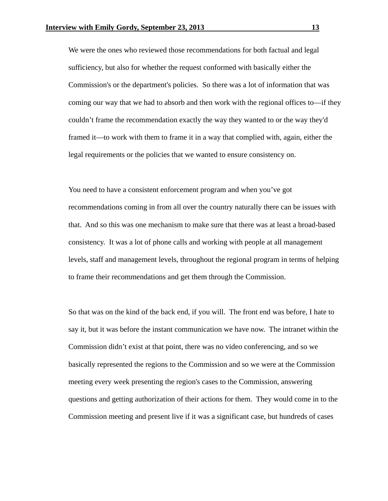We were the ones who reviewed those recommendations for both factual and legal sufficiency, but also for whether the request conformed with basically either the Commission's or the department's policies. So there was a lot of information that was coming our way that we had to absorb and then work with the regional offices to—if they couldn't frame the recommendation exactly the way they wanted to or the way they'd framed it—to work with them to frame it in a way that complied with, again, either the legal requirements or the policies that we wanted to ensure consistency on.

 You need to have a consistent enforcement program and when you've got recommendations coming in from all over the country naturally there can be issues with that. And so this was one mechanism to make sure that there was at least a broad-based consistency. It was a lot of phone calls and working with people at all management levels, staff and management levels, throughout the regional program in terms of helping to frame their recommendations and get them through the Commission.

 So that was on the kind of the back end, if you will. The front end was before, I hate to say it, but it was before the instant communication we have now. The intranet within the Commission didn't exist at that point, there was no video conferencing, and so we basically represented the regions to the Commission and so we were at the Commission meeting every week presenting the region's cases to the Commission, answering questions and getting authorization of their actions for them. They would come in to the Commission meeting and present live if it was a significant case, but hundreds of cases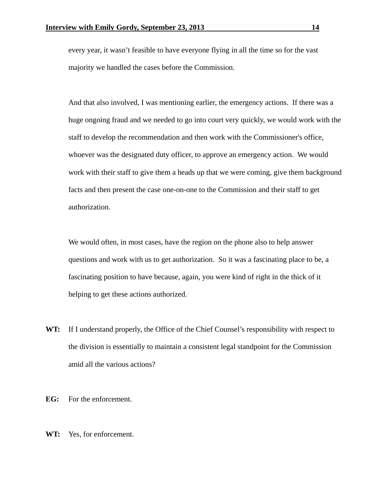every year, it wasn't feasible to have everyone flying in all the time so for the vast majority we handled the cases before the Commission.

 And that also involved, I was mentioning earlier, the emergency actions. If there was a huge ongoing fraud and we needed to go into court very quickly, we would work with the staff to develop the recommendation and then work with the Commissioner's office, whoever was the designated duty officer, to approve an emergency action. We would work with their staff to give them a heads up that we were coming, give them background facts and then present the case one-on-one to the Commission and their staff to get authorization.

 We would often, in most cases, have the region on the phone also to help answer questions and work with us to get authorization. So it was a fascinating place to be, a fascinating position to have because, again, you were kind of right in the thick of it helping to get these actions authorized.

- **WT:** If I understand properly, the Office of the Chief Counsel's responsibility with respect to the division is essentially to maintain a consistent legal standpoint for the Commission amid all the various actions?
- **EG:** For the enforcement.
- **WT:** Yes, for enforcement.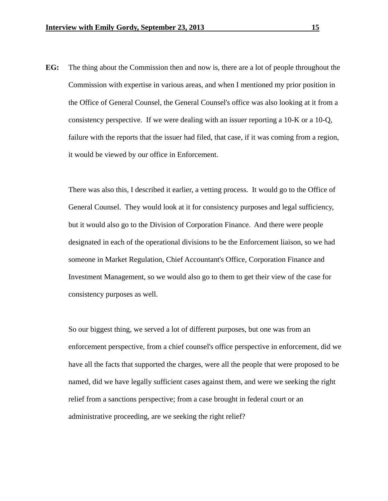**EG:** The thing about the Commission then and now is, there are a lot of people throughout the Commission with expertise in various areas, and when I mentioned my prior position in the Office of General Counsel, the General Counsel's office was also looking at it from a consistency perspective. If we were dealing with an issuer reporting a 10-K or a 10-Q, failure with the reports that the issuer had filed, that case, if it was coming from a region, it would be viewed by our office in Enforcement.

 There was also this, I described it earlier, a vetting process. It would go to the Office of General Counsel. They would look at it for consistency purposes and legal sufficiency, but it would also go to the Division of Corporation Finance. And there were people designated in each of the operational divisions to be the Enforcement liaison, so we had someone in Market Regulation, Chief Accountant's Office, Corporation Finance and Investment Management, so we would also go to them to get their view of the case for consistency purposes as well.

 So our biggest thing, we served a lot of different purposes, but one was from an enforcement perspective, from a chief counsel's office perspective in enforcement, did we have all the facts that supported the charges, were all the people that were proposed to be named, did we have legally sufficient cases against them, and were we seeking the right relief from a sanctions perspective; from a case brought in federal court or an administrative proceeding, are we seeking the right relief?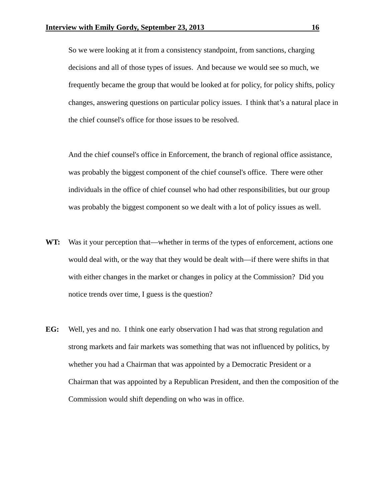So we were looking at it from a consistency standpoint, from sanctions, charging decisions and all of those types of issues. And because we would see so much, we frequently became the group that would be looked at for policy, for policy shifts, policy changes, answering questions on particular policy issues. I think that's a natural place in the chief counsel's office for those issues to be resolved.

 And the chief counsel's office in Enforcement, the branch of regional office assistance, was probably the biggest component of the chief counsel's office. There were other individuals in the office of chief counsel who had other responsibilities, but our group was probably the biggest component so we dealt with a lot of policy issues as well.

- **WT:** Was it your perception that—whether in terms of the types of enforcement, actions one would deal with, or the way that they would be dealt with—if there were shifts in that with either changes in the market or changes in policy at the Commission? Did you notice trends over time, I guess is the question?
- **EG:** Well, yes and no. I think one early observation I had was that strong regulation and strong markets and fair markets was something that was not influenced by politics, by whether you had a Chairman that was appointed by a Democratic President or a Chairman that was appointed by a Republican President, and then the composition of the Commission would shift depending on who was in office.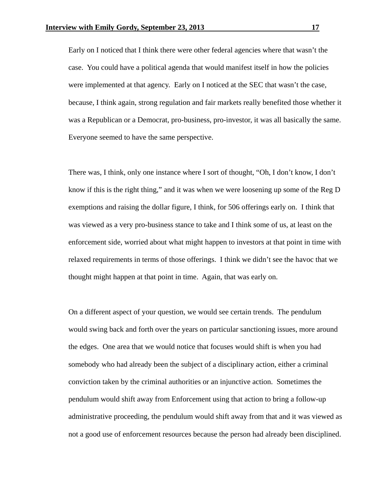Early on I noticed that I think there were other federal agencies where that wasn't the case. You could have a political agenda that would manifest itself in how the policies were implemented at that agency. Early on I noticed at the SEC that wasn't the case, because, I think again, strong regulation and fair markets really benefited those whether it was a Republican or a Democrat, pro-business, pro-investor, it was all basically the same. Everyone seemed to have the same perspective.

 There was, I think, only one instance where I sort of thought, "Oh, I don't know, I don't know if this is the right thing," and it was when we were loosening up some of the Reg D exemptions and raising the dollar figure, I think, for 506 offerings early on. I think that was viewed as a very pro-business stance to take and I think some of us, at least on the enforcement side, worried about what might happen to investors at that point in time with relaxed requirements in terms of those offerings. I think we didn't see the havoc that we thought might happen at that point in time. Again, that was early on.

 On a different aspect of your question, we would see certain trends. The pendulum would swing back and forth over the years on particular sanctioning issues, more around the edges. One area that we would notice that focuses would shift is when you had somebody who had already been the subject of a disciplinary action, either a criminal conviction taken by the criminal authorities or an injunctive action. Sometimes the pendulum would shift away from Enforcement using that action to bring a follow-up administrative proceeding, the pendulum would shift away from that and it was viewed as not a good use of enforcement resources because the person had already been disciplined.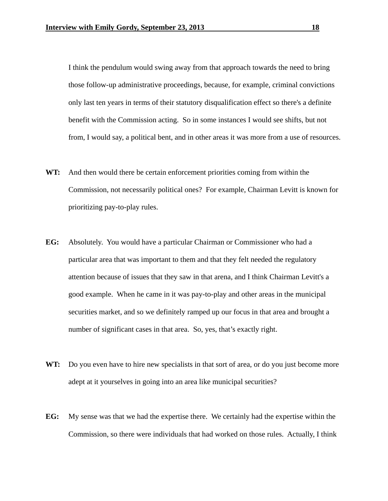I think the pendulum would swing away from that approach towards the need to bring those follow-up administrative proceedings, because, for example, criminal convictions only last ten years in terms of their statutory disqualification effect so there's a definite benefit with the Commission acting. So in some instances I would see shifts, but not from, I would say, a political bent, and in other areas it was more from a use of resources.

- **WT:** And then would there be certain enforcement priorities coming from within the Commission, not necessarily political ones? For example, Chairman Levitt is known for prioritizing pay-to-play rules.
- **EG:** Absolutely. You would have a particular Chairman or Commissioner who had a particular area that was important to them and that they felt needed the regulatory attention because of issues that they saw in that arena, and I think Chairman Levitt's a good example. When he came in it was pay-to-play and other areas in the municipal securities market, and so we definitely ramped up our focus in that area and brought a number of significant cases in that area. So, yes, that's exactly right.
- **WT:** Do you even have to hire new specialists in that sort of area, or do you just become more adept at it yourselves in going into an area like municipal securities?
- **EG:** My sense was that we had the expertise there. We certainly had the expertise within the Commission, so there were individuals that had worked on those rules. Actually, I think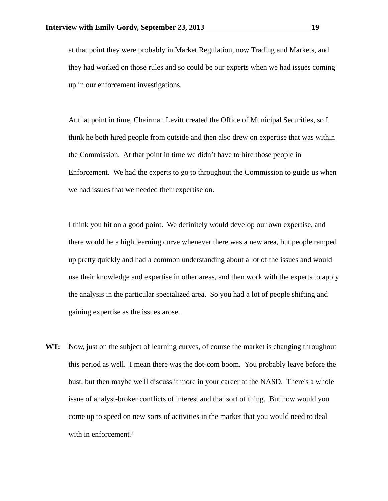at that point they were probably in Market Regulation, now Trading and Markets, and they had worked on those rules and so could be our experts when we had issues coming up in our enforcement investigations.

 At that point in time, Chairman Levitt created the Office of Municipal Securities, so I think he both hired people from outside and then also drew on expertise that was within the Commission. At that point in time we didn't have to hire those people in Enforcement. We had the experts to go to throughout the Commission to guide us when we had issues that we needed their expertise on.

 I think you hit on a good point. We definitely would develop our own expertise, and there would be a high learning curve whenever there was a new area, but people ramped up pretty quickly and had a common understanding about a lot of the issues and would use their knowledge and expertise in other areas, and then work with the experts to apply the analysis in the particular specialized area. So you had a lot of people shifting and gaining expertise as the issues arose.

**WT:** Now, just on the subject of learning curves, of course the market is changing throughout this period as well. I mean there was the dot-com boom. You probably leave before the bust, but then maybe we'll discuss it more in your career at the NASD. There's a whole issue of analyst-broker conflicts of interest and that sort of thing. But how would you come up to speed on new sorts of activities in the market that you would need to deal with in enforcement?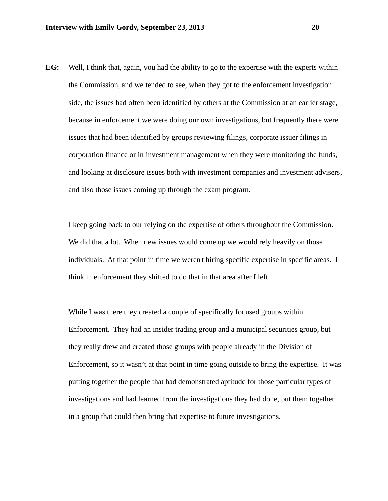**EG:** Well, I think that, again, you had the ability to go to the expertise with the experts within the Commission, and we tended to see, when they got to the enforcement investigation side, the issues had often been identified by others at the Commission at an earlier stage, because in enforcement we were doing our own investigations, but frequently there were issues that had been identified by groups reviewing filings, corporate issuer filings in corporation finance or in investment management when they were monitoring the funds, and looking at disclosure issues both with investment companies and investment advisers, and also those issues coming up through the exam program.

 I keep going back to our relying on the expertise of others throughout the Commission. We did that a lot. When new issues would come up we would rely heavily on those individuals. At that point in time we weren't hiring specific expertise in specific areas. I think in enforcement they shifted to do that in that area after I left.

 While I was there they created a couple of specifically focused groups within Enforcement. They had an insider trading group and a municipal securities group, but they really drew and created those groups with people already in the Division of Enforcement, so it wasn't at that point in time going outside to bring the expertise. It was putting together the people that had demonstrated aptitude for those particular types of investigations and had learned from the investigations they had done, put them together in a group that could then bring that expertise to future investigations.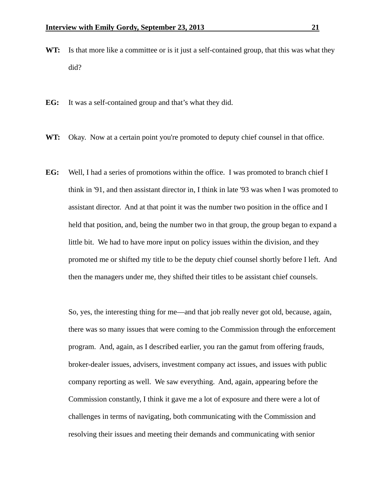- **WT:** Is that more like a committee or is it just a self-contained group, that this was what they did?
- **EG:** It was a self-contained group and that's what they did.
- WT: Okay. Now at a certain point you're promoted to deputy chief counsel in that office.
- **EG:** Well, I had a series of promotions within the office. I was promoted to branch chief I think in '91, and then assistant director in, I think in late '93 was when I was promoted to assistant director. And at that point it was the number two position in the office and I held that position, and, being the number two in that group, the group began to expand a little bit. We had to have more input on policy issues within the division, and they promoted me or shifted my title to be the deputy chief counsel shortly before I left. And then the managers under me, they shifted their titles to be assistant chief counsels.

 So, yes, the interesting thing for me—and that job really never got old, because, again, there was so many issues that were coming to the Commission through the enforcement program. And, again, as I described earlier, you ran the gamut from offering frauds, broker-dealer issues, advisers, investment company act issues, and issues with public company reporting as well. We saw everything. And, again, appearing before the Commission constantly, I think it gave me a lot of exposure and there were a lot of challenges in terms of navigating, both communicating with the Commission and resolving their issues and meeting their demands and communicating with senior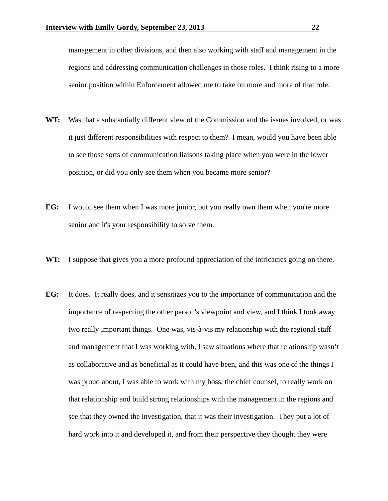management in other divisions, and then also working with staff and management in the regions and addressing communication challenges in those roles. I think rising to a more senior position within Enforcement allowed me to take on more and more of that role.

- **WT:** Was that a substantially different view of the Commission and the issues involved, or was it just different responsibilities with respect to them? I mean, would you have been able to see those sorts of communication liaisons taking place when you were in the lower position, or did you only see them when you became more senior?
- **EG:** I would see them when I was more junior, but you really own them when you're more senior and it's your responsibility to solve them.
- WT: I suppose that gives you a more profound appreciation of the intricacies going on there.
- **EG:** It does. It really does, and it sensitizes you to the importance of communication and the importance of respecting the other person's viewpoint and view, and I think I took away two really important things. One was, vis-à-vis my relationship with the regional staff and management that I was working with, I saw situations where that relationship wasn't as collaborative and as beneficial as it could have been, and this was one of the things I was proud about, I was able to work with my boss, the chief counsel, to really work on that relationship and build strong relationships with the management in the regions and see that they owned the investigation, that it was their investigation. They put a lot of hard work into it and developed it, and from their perspective they thought they were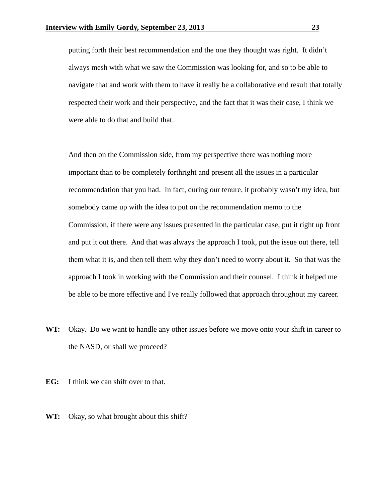putting forth their best recommendation and the one they thought was right. It didn't always mesh with what we saw the Commission was looking for, and so to be able to navigate that and work with them to have it really be a collaborative end result that totally respected their work and their perspective, and the fact that it was their case, I think we were able to do that and build that.

 And then on the Commission side, from my perspective there was nothing more important than to be completely forthright and present all the issues in a particular recommendation that you had. In fact, during our tenure, it probably wasn't my idea, but somebody came up with the idea to put on the recommendation memo to the Commission, if there were any issues presented in the particular case, put it right up front and put it out there. And that was always the approach I took, put the issue out there, tell them what it is, and then tell them why they don't need to worry about it. So that was the approach I took in working with the Commission and their counsel. I think it helped me be able to be more effective and I've really followed that approach throughout my career.

- **WT:** Okay. Do we want to handle any other issues before we move onto your shift in career to the NASD, or shall we proceed?
- **EG:** I think we can shift over to that.
- **WT:** Okay, so what brought about this shift?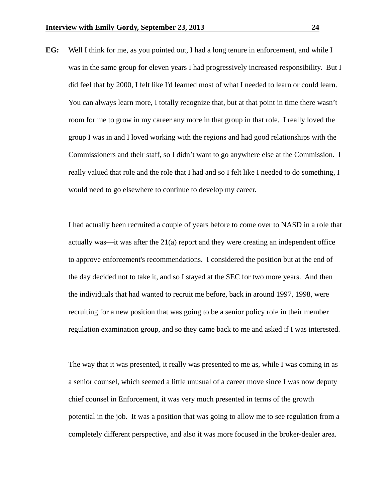**EG:** Well I think for me, as you pointed out, I had a long tenure in enforcement, and while I was in the same group for eleven years I had progressively increased responsibility. But I did feel that by 2000, I felt like I'd learned most of what I needed to learn or could learn. You can always learn more, I totally recognize that, but at that point in time there wasn't room for me to grow in my career any more in that group in that role. I really loved the group I was in and I loved working with the regions and had good relationships with the Commissioners and their staff, so I didn't want to go anywhere else at the Commission. I really valued that role and the role that I had and so I felt like I needed to do something, I would need to go elsewhere to continue to develop my career.

 I had actually been recruited a couple of years before to come over to NASD in a role that actually was—it was after the 21(a) report and they were creating an independent office to approve enforcement's recommendations. I considered the position but at the end of the day decided not to take it, and so I stayed at the SEC for two more years. And then the individuals that had wanted to recruit me before, back in around 1997, 1998, were recruiting for a new position that was going to be a senior policy role in their member regulation examination group, and so they came back to me and asked if I was interested.

 The way that it was presented, it really was presented to me as, while I was coming in as a senior counsel, which seemed a little unusual of a career move since I was now deputy chief counsel in Enforcement, it was very much presented in terms of the growth potential in the job. It was a position that was going to allow me to see regulation from a completely different perspective, and also it was more focused in the broker-dealer area.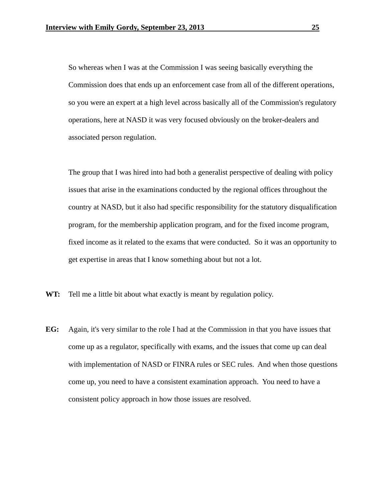So whereas when I was at the Commission I was seeing basically everything the Commission does that ends up an enforcement case from all of the different operations, so you were an expert at a high level across basically all of the Commission's regulatory operations, here at NASD it was very focused obviously on the broker-dealers and associated person regulation.

 The group that I was hired into had both a generalist perspective of dealing with policy issues that arise in the examinations conducted by the regional offices throughout the country at NASD, but it also had specific responsibility for the statutory disqualification program, for the membership application program, and for the fixed income program, fixed income as it related to the exams that were conducted. So it was an opportunity to get expertise in areas that I know something about but not a lot.

- **WT:** Tell me a little bit about what exactly is meant by regulation policy.
- **EG:** Again, it's very similar to the role I had at the Commission in that you have issues that come up as a regulator, specifically with exams, and the issues that come up can deal with implementation of NASD or FINRA rules or SEC rules. And when those questions come up, you need to have a consistent examination approach. You need to have a consistent policy approach in how those issues are resolved.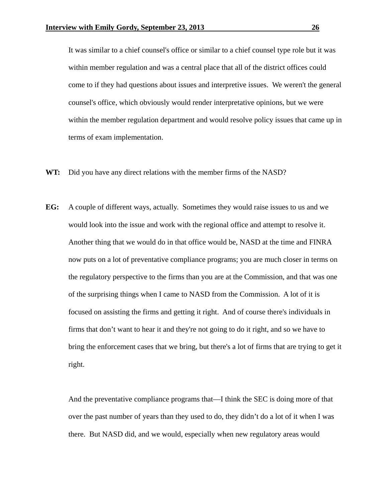It was similar to a chief counsel's office or similar to a chief counsel type role but it was within member regulation and was a central place that all of the district offices could come to if they had questions about issues and interpretive issues. We weren't the general counsel's office, which obviously would render interpretative opinions, but we were within the member regulation department and would resolve policy issues that came up in terms of exam implementation.

- **WT:** Did you have any direct relations with the member firms of the NASD?
- **EG:** A couple of different ways, actually. Sometimes they would raise issues to us and we would look into the issue and work with the regional office and attempt to resolve it. Another thing that we would do in that office would be, NASD at the time and FINRA now puts on a lot of preventative compliance programs; you are much closer in terms on the regulatory perspective to the firms than you are at the Commission, and that was one of the surprising things when I came to NASD from the Commission. A lot of it is focused on assisting the firms and getting it right. And of course there's individuals in firms that don't want to hear it and they're not going to do it right, and so we have to bring the enforcement cases that we bring, but there's a lot of firms that are trying to get it right.

 And the preventative compliance programs that—I think the SEC is doing more of that over the past number of years than they used to do, they didn't do a lot of it when I was there. But NASD did, and we would, especially when new regulatory areas would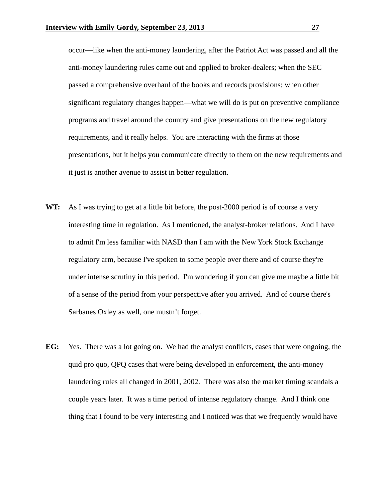occur—like when the anti-money laundering, after the Patriot Act was passed and all the anti-money laundering rules came out and applied to broker-dealers; when the SEC passed a comprehensive overhaul of the books and records provisions; when other significant regulatory changes happen—what we will do is put on preventive compliance programs and travel around the country and give presentations on the new regulatory requirements, and it really helps. You are interacting with the firms at those presentations, but it helps you communicate directly to them on the new requirements and it just is another avenue to assist in better regulation.

- **WT:** As I was trying to get at a little bit before, the post-2000 period is of course a very interesting time in regulation. As I mentioned, the analyst-broker relations. And I have to admit I'm less familiar with NASD than I am with the New York Stock Exchange regulatory arm, because I've spoken to some people over there and of course they're under intense scrutiny in this period. I'm wondering if you can give me maybe a little bit of a sense of the period from your perspective after you arrived. And of course there's Sarbanes Oxley as well, one mustn't forget.
- **EG:** Yes. There was a lot going on. We had the analyst conflicts, cases that were ongoing, the quid pro quo, QPQ cases that were being developed in enforcement, the anti-money laundering rules all changed in 2001, 2002. There was also the market timing scandals a couple years later. It was a time period of intense regulatory change. And I think one thing that I found to be very interesting and I noticed was that we frequently would have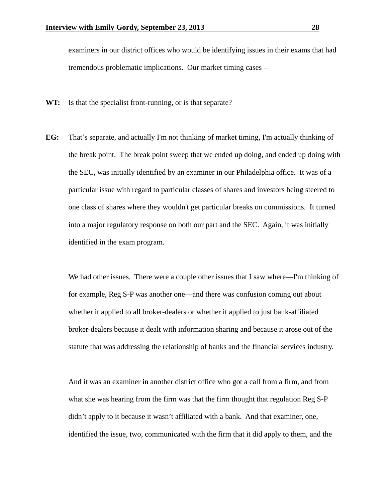examiners in our district offices who would be identifying issues in their exams that had tremendous problematic implications. Our market timing cases –

- WT: Is that the specialist front-running, or is that separate?
- **EG:** That's separate, and actually I'm not thinking of market timing, I'm actually thinking of the break point. The break point sweep that we ended up doing, and ended up doing with the SEC, was initially identified by an examiner in our Philadelphia office. It was of a particular issue with regard to particular classes of shares and investors being steered to one class of shares where they wouldn't get particular breaks on commissions. It turned into a major regulatory response on both our part and the SEC. Again, it was initially identified in the exam program.

 We had other issues. There were a couple other issues that I saw where—I'm thinking of for example, Reg S-P was another one—and there was confusion coming out about whether it applied to all broker-dealers or whether it applied to just bank-affiliated broker-dealers because it dealt with information sharing and because it arose out of the statute that was addressing the relationship of banks and the financial services industry.

 And it was an examiner in another district office who got a call from a firm, and from what she was hearing from the firm was that the firm thought that regulation Reg S-P didn't apply to it because it wasn't affiliated with a bank. And that examiner, one, identified the issue, two, communicated with the firm that it did apply to them, and the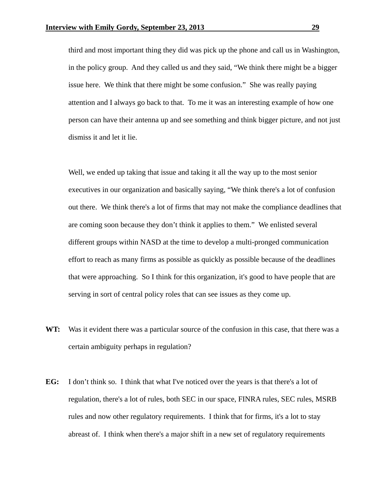third and most important thing they did was pick up the phone and call us in Washington, in the policy group. And they called us and they said, "We think there might be a bigger issue here. We think that there might be some confusion." She was really paying attention and I always go back to that. To me it was an interesting example of how one person can have their antenna up and see something and think bigger picture, and not just dismiss it and let it lie.

 Well, we ended up taking that issue and taking it all the way up to the most senior executives in our organization and basically saying, "We think there's a lot of confusion out there. We think there's a lot of firms that may not make the compliance deadlines that are coming soon because they don't think it applies to them." We enlisted several different groups within NASD at the time to develop a multi-pronged communication effort to reach as many firms as possible as quickly as possible because of the deadlines that were approaching. So I think for this organization, it's good to have people that are serving in sort of central policy roles that can see issues as they come up.

- **WT:** Was it evident there was a particular source of the confusion in this case, that there was a certain ambiguity perhaps in regulation?
- **EG:** I don't think so. I think that what I've noticed over the years is that there's a lot of regulation, there's a lot of rules, both SEC in our space, FINRA rules, SEC rules, MSRB rules and now other regulatory requirements. I think that for firms, it's a lot to stay abreast of. I think when there's a major shift in a new set of regulatory requirements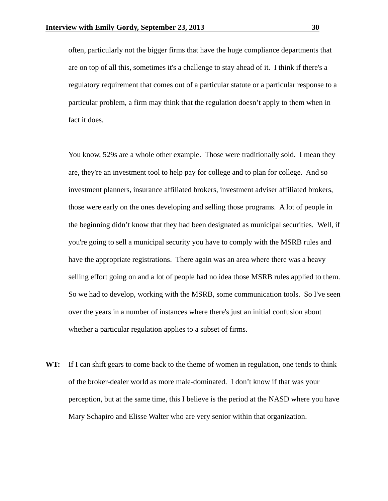often, particularly not the bigger firms that have the huge compliance departments that are on top of all this, sometimes it's a challenge to stay ahead of it. I think if there's a regulatory requirement that comes out of a particular statute or a particular response to a particular problem, a firm may think that the regulation doesn't apply to them when in fact it does.

 You know, 529s are a whole other example. Those were traditionally sold. I mean they are, they're an investment tool to help pay for college and to plan for college. And so investment planners, insurance affiliated brokers, investment adviser affiliated brokers, those were early on the ones developing and selling those programs. A lot of people in the beginning didn't know that they had been designated as municipal securities. Well, if you're going to sell a municipal security you have to comply with the MSRB rules and have the appropriate registrations. There again was an area where there was a heavy selling effort going on and a lot of people had no idea those MSRB rules applied to them. So we had to develop, working with the MSRB, some communication tools. So I've seen over the years in a number of instances where there's just an initial confusion about whether a particular regulation applies to a subset of firms.

**WT:** If I can shift gears to come back to the theme of women in regulation, one tends to think of the broker-dealer world as more male-dominated. I don't know if that was your perception, but at the same time, this I believe is the period at the NASD where you have Mary Schapiro and Elisse Walter who are very senior within that organization.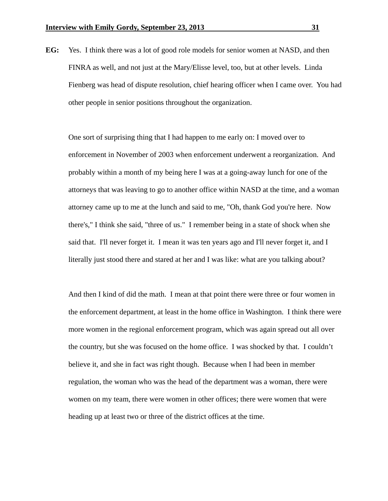**EG:** Yes. I think there was a lot of good role models for senior women at NASD, and then FINRA as well, and not just at the Mary/Elisse level, too, but at other levels. Linda Fienberg was head of dispute resolution, chief hearing officer when I came over. You had other people in senior positions throughout the organization.

 One sort of surprising thing that I had happen to me early on: I moved over to enforcement in November of 2003 when enforcement underwent a reorganization. And probably within a month of my being here I was at a going-away lunch for one of the attorneys that was leaving to go to another office within NASD at the time, and a woman attorney came up to me at the lunch and said to me, "Oh, thank God you're here. Now there's," I think she said, "three of us." I remember being in a state of shock when she said that. I'll never forget it. I mean it was ten years ago and I'll never forget it, and I literally just stood there and stared at her and I was like: what are you talking about?

 And then I kind of did the math. I mean at that point there were three or four women in the enforcement department, at least in the home office in Washington. I think there were more women in the regional enforcement program, which was again spread out all over the country, but she was focused on the home office. I was shocked by that. I couldn't believe it, and she in fact was right though. Because when I had been in member regulation, the woman who was the head of the department was a woman, there were women on my team, there were women in other offices; there were women that were heading up at least two or three of the district offices at the time.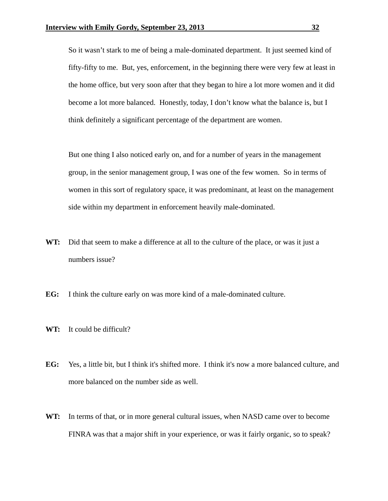So it wasn't stark to me of being a male-dominated department. It just seemed kind of fifty-fifty to me. But, yes, enforcement, in the beginning there were very few at least in the home office, but very soon after that they began to hire a lot more women and it did become a lot more balanced. Honestly, today, I don't know what the balance is, but I think definitely a significant percentage of the department are women.

 But one thing I also noticed early on, and for a number of years in the management group, in the senior management group, I was one of the few women. So in terms of women in this sort of regulatory space, it was predominant, at least on the management side within my department in enforcement heavily male-dominated.

- **WT:** Did that seem to make a difference at all to the culture of the place, or was it just a numbers issue?
- **EG:** I think the culture early on was more kind of a male-dominated culture.
- **WT:** It could be difficult?
- **EG:** Yes, a little bit, but I think it's shifted more. I think it's now a more balanced culture, and more balanced on the number side as well.
- **WT:** In terms of that, or in more general cultural issues, when NASD came over to become FINRA was that a major shift in your experience, or was it fairly organic, so to speak?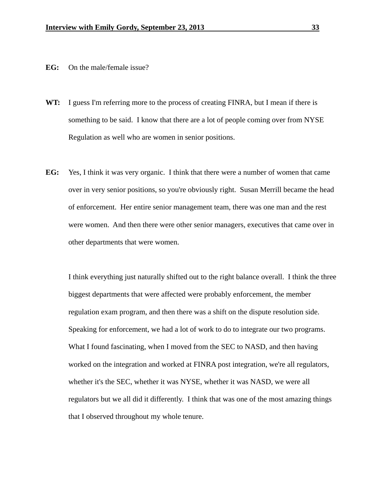- **EG:** On the male/female issue?
- WT: I guess I'm referring more to the process of creating FINRA, but I mean if there is something to be said. I know that there are a lot of people coming over from NYSE Regulation as well who are women in senior positions.
- **EG:** Yes, I think it was very organic. I think that there were a number of women that came over in very senior positions, so you're obviously right. Susan Merrill became the head of enforcement. Her entire senior management team, there was one man and the rest were women. And then there were other senior managers, executives that came over in other departments that were women.

 I think everything just naturally shifted out to the right balance overall. I think the three biggest departments that were affected were probably enforcement, the member regulation exam program, and then there was a shift on the dispute resolution side. Speaking for enforcement, we had a lot of work to do to integrate our two programs. What I found fascinating, when I moved from the SEC to NASD, and then having worked on the integration and worked at FINRA post integration, we're all regulators, whether it's the SEC, whether it was NYSE, whether it was NASD, we were all regulators but we all did it differently. I think that was one of the most amazing things that I observed throughout my whole tenure.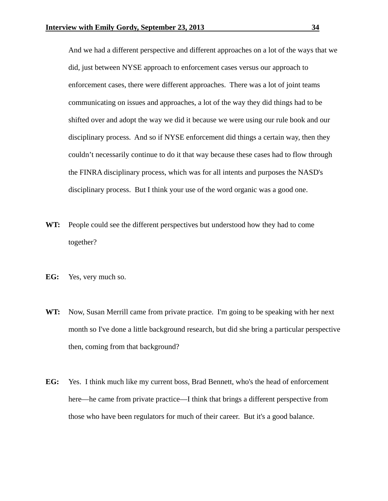And we had a different perspective and different approaches on a lot of the ways that we did, just between NYSE approach to enforcement cases versus our approach to enforcement cases, there were different approaches. There was a lot of joint teams communicating on issues and approaches, a lot of the way they did things had to be shifted over and adopt the way we did it because we were using our rule book and our disciplinary process. And so if NYSE enforcement did things a certain way, then they couldn't necessarily continue to do it that way because these cases had to flow through the FINRA disciplinary process, which was for all intents and purposes the NASD's disciplinary process. But I think your use of the word organic was a good one.

- **WT:** People could see the different perspectives but understood how they had to come together?
- **EG:** Yes, very much so.
- **WT:** Now, Susan Merrill came from private practice. I'm going to be speaking with her next month so I've done a little background research, but did she bring a particular perspective then, coming from that background?
- **EG:** Yes. I think much like my current boss, Brad Bennett, who's the head of enforcement here—he came from private practice—I think that brings a different perspective from those who have been regulators for much of their career. But it's a good balance.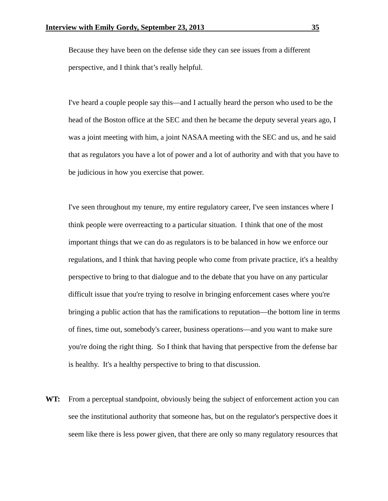Because they have been on the defense side they can see issues from a different perspective, and I think that's really helpful.

 I've heard a couple people say this—and I actually heard the person who used to be the head of the Boston office at the SEC and then he became the deputy several years ago, I was a joint meeting with him, a joint NASAA meeting with the SEC and us, and he said that as regulators you have a lot of power and a lot of authority and with that you have to be judicious in how you exercise that power.

 I've seen throughout my tenure, my entire regulatory career, I've seen instances where I think people were overreacting to a particular situation. I think that one of the most important things that we can do as regulators is to be balanced in how we enforce our regulations, and I think that having people who come from private practice, it's a healthy perspective to bring to that dialogue and to the debate that you have on any particular difficult issue that you're trying to resolve in bringing enforcement cases where you're bringing a public action that has the ramifications to reputation—the bottom line in terms of fines, time out, somebody's career, business operations—and you want to make sure you're doing the right thing. So I think that having that perspective from the defense bar is healthy. It's a healthy perspective to bring to that discussion.

**WT:** From a perceptual standpoint, obviously being the subject of enforcement action you can see the institutional authority that someone has, but on the regulator's perspective does it seem like there is less power given, that there are only so many regulatory resources that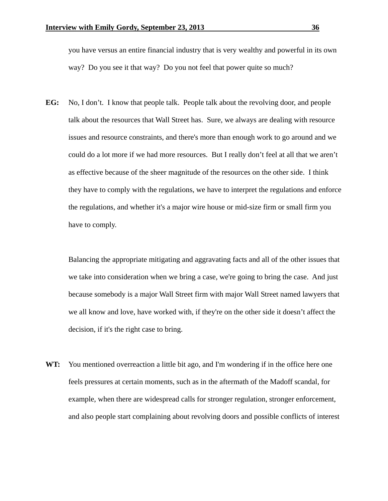you have versus an entire financial industry that is very wealthy and powerful in its own way? Do you see it that way? Do you not feel that power quite so much?

**EG:** No, I don't. I know that people talk. People talk about the revolving door, and people talk about the resources that Wall Street has. Sure, we always are dealing with resource issues and resource constraints, and there's more than enough work to go around and we could do a lot more if we had more resources. But I really don't feel at all that we aren't as effective because of the sheer magnitude of the resources on the other side. I think they have to comply with the regulations, we have to interpret the regulations and enforce the regulations, and whether it's a major wire house or mid-size firm or small firm you have to comply.

 Balancing the appropriate mitigating and aggravating facts and all of the other issues that we take into consideration when we bring a case, we're going to bring the case. And just because somebody is a major Wall Street firm with major Wall Street named lawyers that we all know and love, have worked with, if they're on the other side it doesn't affect the decision, if it's the right case to bring.

**WT:** You mentioned overreaction a little bit ago, and I'm wondering if in the office here one feels pressures at certain moments, such as in the aftermath of the Madoff scandal, for example, when there are widespread calls for stronger regulation, stronger enforcement, and also people start complaining about revolving doors and possible conflicts of interest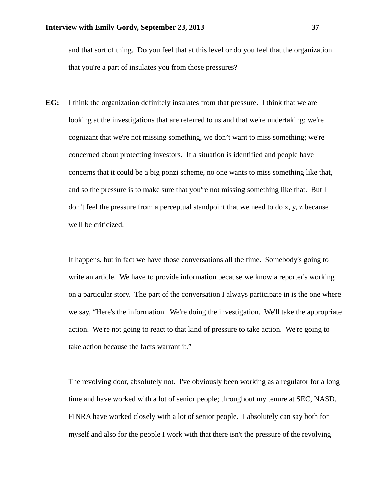and that sort of thing. Do you feel that at this level or do you feel that the organization that you're a part of insulates you from those pressures?

**EG:** I think the organization definitely insulates from that pressure. I think that we are looking at the investigations that are referred to us and that we're undertaking; we're cognizant that we're not missing something, we don't want to miss something; we're concerned about protecting investors. If a situation is identified and people have concerns that it could be a big ponzi scheme, no one wants to miss something like that, and so the pressure is to make sure that you're not missing something like that. But I don't feel the pressure from a perceptual standpoint that we need to do x, y, z because we'll be criticized.

 It happens, but in fact we have those conversations all the time. Somebody's going to write an article. We have to provide information because we know a reporter's working on a particular story. The part of the conversation I always participate in is the one where we say, "Here's the information. We're doing the investigation. We'll take the appropriate action. We're not going to react to that kind of pressure to take action. We're going to take action because the facts warrant it."

 The revolving door, absolutely not. I've obviously been working as a regulator for a long time and have worked with a lot of senior people; throughout my tenure at SEC, NASD, FINRA have worked closely with a lot of senior people. I absolutely can say both for myself and also for the people I work with that there isn't the pressure of the revolving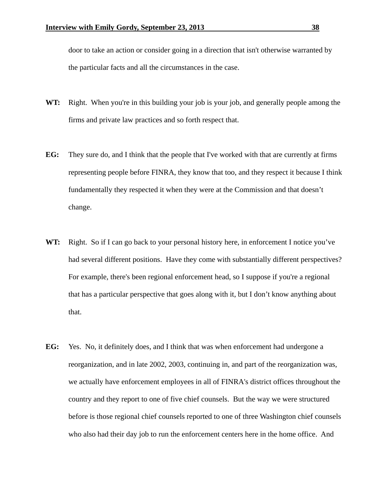door to take an action or consider going in a direction that isn't otherwise warranted by the particular facts and all the circumstances in the case.

- WT: Right. When you're in this building your job is your job, and generally people among the firms and private law practices and so forth respect that.
- **EG:** They sure do, and I think that the people that I've worked with that are currently at firms representing people before FINRA, they know that too, and they respect it because I think fundamentally they respected it when they were at the Commission and that doesn't change.
- **WT:** Right. So if I can go back to your personal history here, in enforcement I notice you've had several different positions. Have they come with substantially different perspectives? For example, there's been regional enforcement head, so I suppose if you're a regional that has a particular perspective that goes along with it, but I don't know anything about that.
- **EG:** Yes. No, it definitely does, and I think that was when enforcement had undergone a reorganization, and in late 2002, 2003, continuing in, and part of the reorganization was, we actually have enforcement employees in all of FINRA's district offices throughout the country and they report to one of five chief counsels. But the way we were structured before is those regional chief counsels reported to one of three Washington chief counsels who also had their day job to run the enforcement centers here in the home office. And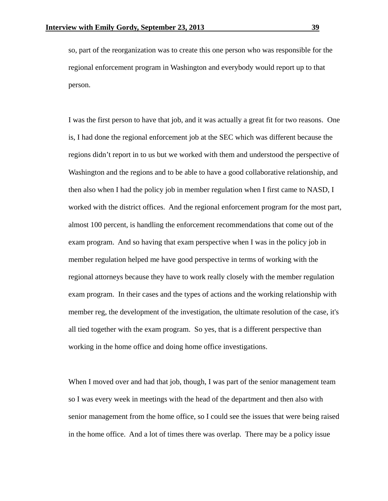so, part of the reorganization was to create this one person who was responsible for the regional enforcement program in Washington and everybody would report up to that person.

 I was the first person to have that job, and it was actually a great fit for two reasons. One is, I had done the regional enforcement job at the SEC which was different because the regions didn't report in to us but we worked with them and understood the perspective of Washington and the regions and to be able to have a good collaborative relationship, and then also when I had the policy job in member regulation when I first came to NASD, I worked with the district offices. And the regional enforcement program for the most part, almost 100 percent, is handling the enforcement recommendations that come out of the exam program. And so having that exam perspective when I was in the policy job in member regulation helped me have good perspective in terms of working with the regional attorneys because they have to work really closely with the member regulation exam program. In their cases and the types of actions and the working relationship with member reg, the development of the investigation, the ultimate resolution of the case, it's all tied together with the exam program. So yes, that is a different perspective than working in the home office and doing home office investigations.

When I moved over and had that job, though, I was part of the senior management team so I was every week in meetings with the head of the department and then also with senior management from the home office, so I could see the issues that were being raised in the home office. And a lot of times there was overlap. There may be a policy issue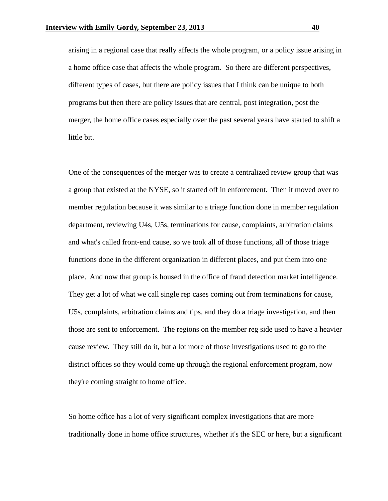arising in a regional case that really affects the whole program, or a policy issue arising in a home office case that affects the whole program. So there are different perspectives, different types of cases, but there are policy issues that I think can be unique to both programs but then there are policy issues that are central, post integration, post the merger, the home office cases especially over the past several years have started to shift a little bit.

 One of the consequences of the merger was to create a centralized review group that was a group that existed at the NYSE, so it started off in enforcement. Then it moved over to member regulation because it was similar to a triage function done in member regulation department, reviewing U4s, U5s, terminations for cause, complaints, arbitration claims and what's called front-end cause, so we took all of those functions, all of those triage functions done in the different organization in different places, and put them into one place. And now that group is housed in the office of fraud detection market intelligence. They get a lot of what we call single rep cases coming out from terminations for cause, U5s, complaints, arbitration claims and tips, and they do a triage investigation, and then those are sent to enforcement. The regions on the member reg side used to have a heavier cause review. They still do it, but a lot more of those investigations used to go to the district offices so they would come up through the regional enforcement program, now they're coming straight to home office.

 So home office has a lot of very significant complex investigations that are more traditionally done in home office structures, whether it's the SEC or here, but a significant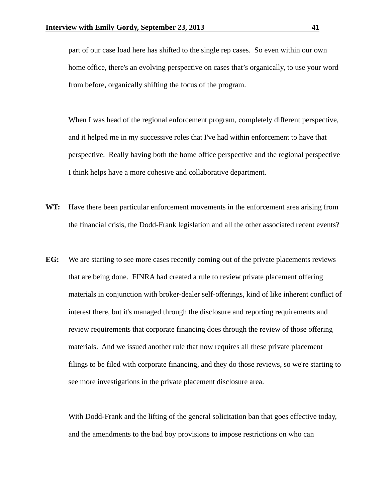part of our case load here has shifted to the single rep cases. So even within our own home office, there's an evolving perspective on cases that's organically, to use your word from before, organically shifting the focus of the program.

 When I was head of the regional enforcement program, completely different perspective, and it helped me in my successive roles that I've had within enforcement to have that perspective. Really having both the home office perspective and the regional perspective I think helps have a more cohesive and collaborative department.

- **WT:** Have there been particular enforcement movements in the enforcement area arising from the financial crisis, the Dodd-Frank legislation and all the other associated recent events?
- **EG:** We are starting to see more cases recently coming out of the private placements reviews that are being done. FINRA had created a rule to review private placement offering materials in conjunction with broker-dealer self-offerings, kind of like inherent conflict of interest there, but it's managed through the disclosure and reporting requirements and review requirements that corporate financing does through the review of those offering materials. And we issued another rule that now requires all these private placement filings to be filed with corporate financing, and they do those reviews, so we're starting to see more investigations in the private placement disclosure area.

 With Dodd-Frank and the lifting of the general solicitation ban that goes effective today, and the amendments to the bad boy provisions to impose restrictions on who can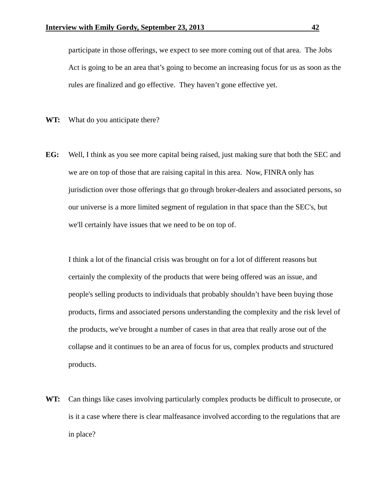participate in those offerings, we expect to see more coming out of that area. The Jobs Act is going to be an area that's going to become an increasing focus for us as soon as the rules are finalized and go effective. They haven't gone effective yet.

**WT:** What do you anticipate there?

**EG:** Well, I think as you see more capital being raised, just making sure that both the SEC and we are on top of those that are raising capital in this area. Now, FINRA only has jurisdiction over those offerings that go through broker-dealers and associated persons, so our universe is a more limited segment of regulation in that space than the SEC's, but we'll certainly have issues that we need to be on top of.

 I think a lot of the financial crisis was brought on for a lot of different reasons but certainly the complexity of the products that were being offered was an issue, and people's selling products to individuals that probably shouldn't have been buying those products, firms and associated persons understanding the complexity and the risk level of the products, we've brought a number of cases in that area that really arose out of the collapse and it continues to be an area of focus for us, complex products and structured products.

**WT:** Can things like cases involving particularly complex products be difficult to prosecute, or is it a case where there is clear malfeasance involved according to the regulations that are in place?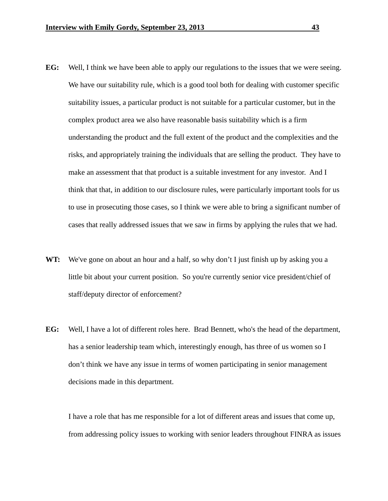- **EG:** Well, I think we have been able to apply our regulations to the issues that we were seeing. We have our suitability rule, which is a good tool both for dealing with customer specific suitability issues, a particular product is not suitable for a particular customer, but in the complex product area we also have reasonable basis suitability which is a firm understanding the product and the full extent of the product and the complexities and the risks, and appropriately training the individuals that are selling the product. They have to make an assessment that that product is a suitable investment for any investor. And I think that that, in addition to our disclosure rules, were particularly important tools for us to use in prosecuting those cases, so I think we were able to bring a significant number of cases that really addressed issues that we saw in firms by applying the rules that we had.
- **WT:** We've gone on about an hour and a half, so why don't I just finish up by asking you a little bit about your current position. So you're currently senior vice president/chief of staff/deputy director of enforcement?
- **EG:** Well, I have a lot of different roles here. Brad Bennett, who's the head of the department, has a senior leadership team which, interestingly enough, has three of us women so I don't think we have any issue in terms of women participating in senior management decisions made in this department.

 I have a role that has me responsible for a lot of different areas and issues that come up, from addressing policy issues to working with senior leaders throughout FINRA as issues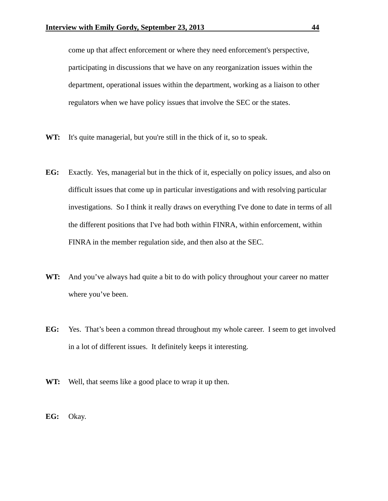come up that affect enforcement or where they need enforcement's perspective, participating in discussions that we have on any reorganization issues within the department, operational issues within the department, working as a liaison to other regulators when we have policy issues that involve the SEC or the states.

- **WT:** It's quite managerial, but you're still in the thick of it, so to speak.
- **EG:** Exactly. Yes, managerial but in the thick of it, especially on policy issues, and also on difficult issues that come up in particular investigations and with resolving particular investigations. So I think it really draws on everything I've done to date in terms of all the different positions that I've had both within FINRA, within enforcement, within FINRA in the member regulation side, and then also at the SEC.
- **WT:** And you've always had quite a bit to do with policy throughout your career no matter where you've been.
- **EG:** Yes. That's been a common thread throughout my whole career. I seem to get involved in a lot of different issues. It definitely keeps it interesting.
- **WT:** Well, that seems like a good place to wrap it up then.
- **EG:** Okay.